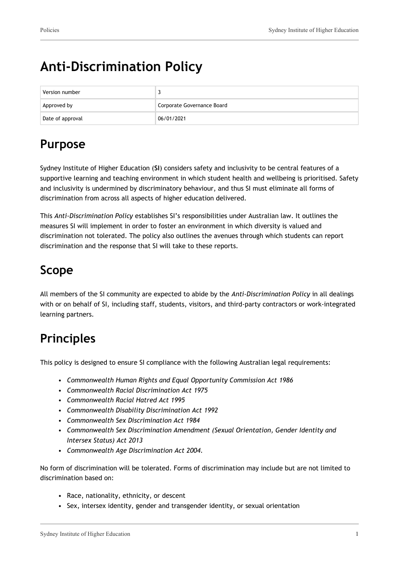# **Anti-Discrimination Policy**

| Version number   |                            |
|------------------|----------------------------|
| Approved by      | Corporate Governance Board |
| Date of approval | 06/01/2021                 |

## **Purpose**

Sydney Institute of Higher Education (**SI**) considers safety and inclusivity to be central features of a supportive learning and teaching environment in which student health and wellbeing is prioritised. Safety and inclusivity is undermined by discriminatory behaviour, and thus SI must eliminate all forms of discrimination from across all aspects of higher education delivered.

This *Anti-Discrimination Policy* establishes SI's responsibilities under Australian law. It outlines the measures SI will implement in order to foster an environment in which diversity is valued and discrimination not tolerated. The policy also outlines the avenues through which students can report discrimination and the response that SI will take to these reports.

# **Scope**

All members of the SI community are expected to abide by the *Anti-Discrimination Policy* in all dealings with or on behalf of SI*,* including staff, students, visitors, and third-party contractors or work-integrated learning partners.

# **Principles**

This policy is designed to ensure SI compliance with the following Australian legal requirements:

- *Commonwealth Human Rights and Equal Opportunity Commission Act 1986*
- *Commonwealth Racial Discrimination Act 1975*
- *Commonwealth Racial Hatred Act 1995*
- *Commonwealth Disability Discrimination Act 1992*
- *Commonwealth Sex Discrimination Act 1984*
- *Commonwealth Sex Discrimination Amendment (Sexual Orientation, Gender Identity and Intersex Status) Act 2013*
- *Commonwealth Age Discrimination Act 2004.*

No form of discrimination will be tolerated. Forms of discrimination may include but are not limited to discrimination based on:

- Race, nationality, ethnicity, or descent
- Sex, intersex identity, gender and transgender identity, or sexual orientation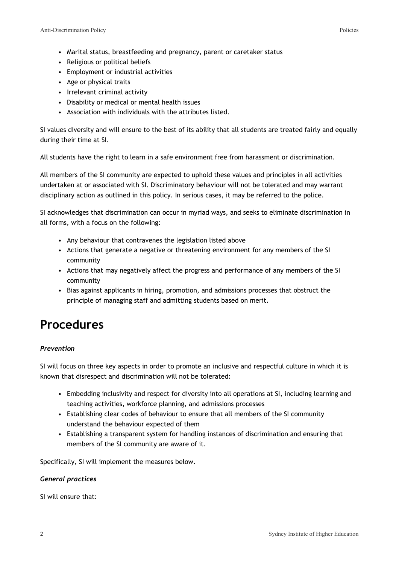- Marital status, breastfeeding and pregnancy, parent or caretaker status
- Religious or political beliefs
- Employment or industrial activities
- Age or physical traits
- Irrelevant criminal activity
- Disability or medical or mental health issues
- Association with individuals with the attributes listed.

SI values diversity and will ensure to the best of its ability that all students are treated fairly and equally during their time at SI.

All students have the right to learn in a safe environment free from harassment or discrimination.

All members of the SI community are expected to uphold these values and principles in all activities undertaken at or associated with SI. Discriminatory behaviour will not be tolerated and may warrant disciplinary action as outlined in this policy. In serious cases, it may be referred to the police.

SI acknowledges that discrimination can occur in myriad ways, and seeks to eliminate discrimination in all forms, with a focus on the following:

- Any behaviour that contravenes the legislation listed above
- Actions that generate a negative or threatening environment for any members of the SI community
- Actions that may negatively affect the progress and performance of any members of the SI community
- Bias against applicants in hiring, promotion, and admissions processes that obstruct the principle of managing staff and admitting students based on merit.

### **Procedures**

#### *Prevention*

SI will focus on three key aspects in order to promote an inclusive and respectful culture in which it is known that disrespect and discrimination will not be tolerated:

- Embedding inclusivity and respect for diversity into all operations at SI, including learning and teaching activities, workforce planning, and admissions processes
- Establishing clear codes of behaviour to ensure that all members of the SI community understand the behaviour expected of them
- Establishing a transparent system for handling instances of discrimination and ensuring that members of the SI community are aware of it.

Specifically, SI will implement the measures below.

#### *General practices*

SI will ensure that: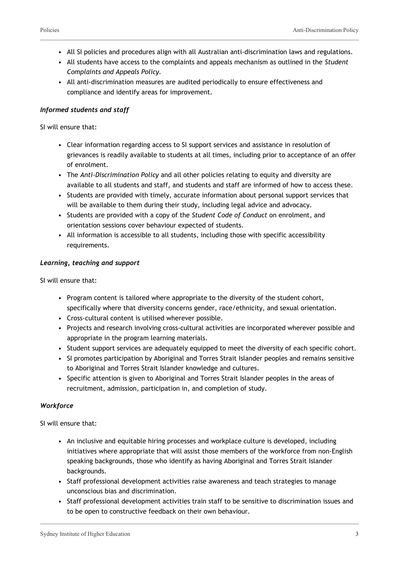- All SI policies and procedures align with all Australian anti-discrimination laws and regulations.
- All students have access to the complaints and appeals mechanism as outlined in the *Student Complaints and Appeals Policy.*
- All anti-discrimination measures are audited periodically to ensure effectiveness and compliance and identify areas for improvement.

#### *Informed students and staff*

SI will ensure that:

- Clear information regarding access to SI support services and assistance in resolution of grievances is readily available to students at all times, including prior to acceptance of an offer of enrolment.
- The *Anti-Discrimination Policy* and all other policies relating to equity and diversity are available to all students and staff, and students and staff are informed of how to access these.
- Students are provided with timely, accurate information about personal support services that will be available to them during their study, including legal advice and advocacy.
- Students are provided with a copy of the *Student Code of Conduct* on enrolment, and orientation sessions cover behaviour expected of students.
- All information is accessible to all students, including those with specific accessibility requirements.

#### *Learning, teaching and support*

SI will ensure that:

- Program content is tailored where appropriate to the diversity of the student cohort, specifically where that diversity concerns gender, race/ethnicity, and sexual orientation.
- Cross-cultural content is utilised wherever possible.
- Projects and research involving cross-cultural activities are incorporated wherever possible and appropriate in the program learning materials.
- Student support services are adequately equipped to meet the diversity of each specific cohort.
- SI promotes participation by Aboriginal and Torres Strait Islander peoples and remains sensitive to Aboriginal and Torres Strait Islander knowledge and cultures.
- Specific attention is given to Aboriginal and Torres Strait Islander peoples in the areas of recruitment, admission, participation in, and completion of study.

#### *Workforce*

SI will ensure that:

- An inclusive and equitable hiring processes and workplace culture is developed, including initiatives where appropriate that will assist those members of the workforce from non-English speaking backgrounds, those who identify as having Aboriginal and Torres Strait Islander backgrounds.
- Staff professional development activities raise awareness and teach strategies to manage unconscious bias and discrimination.
- Staff professional development activities train staff to be sensitive to discrimination issues and to be open to constructive feedback on their own behaviour.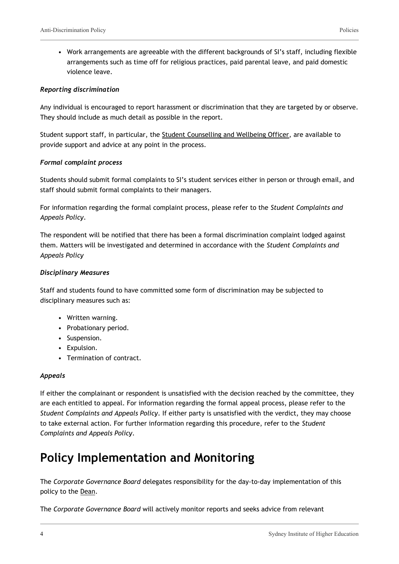• Work arrangements are agreeable with the different backgrounds of SI's staff, including flexible arrangements such as time off for religious practices, paid parental leave, and paid domestic violence leave.

#### *Reporting discrimination*

Any individual is encouraged to report harassment or discrimination that they are targeted by or observe. They should include as much detail as possible in the report.

Student support staff, in particular, the Student Counselling and Wellbeing Officer, are available to provide support and advice at any point in the process.

#### *Formal complaint process*

Students should submit formal complaints to SI's student services either in person or through email, and staff should submit formal complaints to their managers.

For information regarding the formal complaint process, please refer to the *Student Complaints and Appeals Policy*.

The respondent will be notified that there has been a formal discrimination complaint lodged against them. Matters will be investigated and determined in accordance with the *Student Complaints and Appeals Policy*

#### *Disciplinary Measures*

Staff and students found to have committed some form of discrimination may be subjected to disciplinary measures such as:

- Written warning.
- Probationary period.
- Suspension.
- Expulsion.
- Termination of contract.

#### *Appeals*

If either the complainant or respondent is unsatisfied with the decision reached by the committee, they are each entitled to appeal. For information regarding the formal appeal process, please refer to the *Student Complaints and Appeals Policy*. If either party is unsatisfied with the verdict, they may choose to take external action. For further information regarding this procedure, refer to the *Student Complaints and Appeals Policy*.

## **Policy Implementation and Monitoring**

The *Corporate Governance Board* delegates responsibility for the day-to-day implementation of this policy to the Dean.

The *Corporate Governance Board* will actively monitor reports and seeks advice from relevant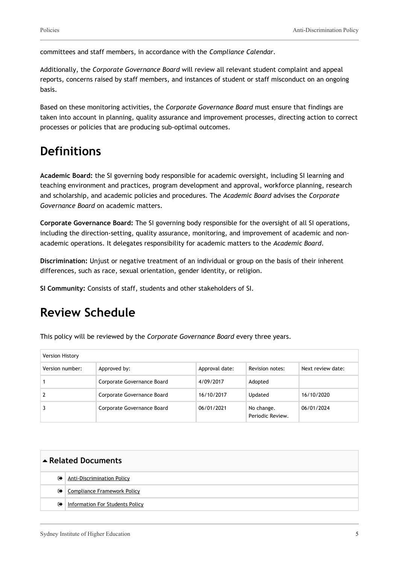committees and staff members, in accordance with the *Compliance Calendar*.

Additionally, the *Corporate Governance Board* will review all relevant student complaint and appeal reports, concerns raised by staff members, and instances of student or staff misconduct on an ongoing basis.

Based on these monitoring activities, the *Corporate Governance Board* must ensure that findings are taken into account in planning, quality assurance and improvement processes, directing action to correct processes or policies that are producing sub-optimal outcomes.

## **Definitions**

**Academic Board:** the SI governing body responsible for academic oversight, including SI learning and teaching environment and practices, program development and approval, workforce planning, research and scholarship, and academic policies and procedures. The *Academic Board* advises the *Corporate Governance Board* on academic matters.

**Corporate Governance Board:** The SI governing body responsible for the oversight of all SI operations, including the direction-setting, quality assurance, monitoring, and improvement of academic and nonacademic operations. It delegates responsibility for academic matters to the *Academic Board*.

**Discrimination:** Unjust or negative treatment of an individual or group on the basis of their inherent differences, such as race, sexual orientation, gender identity, or religion.

**SI Community:** Consists of staff, students and other stakeholders of SI.

## **Review Schedule**

This policy will be reviewed by the *Corporate Governance Board* every three years.

| <b>Version History</b> |                            |                |                                |                   |  |  |
|------------------------|----------------------------|----------------|--------------------------------|-------------------|--|--|
| Version number:        | Approved by:               | Approval date: | Revision notes:                | Next review date: |  |  |
|                        | Corporate Governance Board | 4/09/2017      | Adopted                        |                   |  |  |
| 2                      | Corporate Governance Board | 16/10/2017     | Updated                        | 16/10/2020        |  |  |
|                        | Corporate Governance Board | 06/01/2021     | No change.<br>Periodic Review. | 06/01/2024        |  |  |

| Related Documents |                                 |  |  |  |
|-------------------|---------------------------------|--|--|--|
| ☞                 | Anti-Discrimination Policy      |  |  |  |
| $\bullet$         | Compliance Framework Policy     |  |  |  |
| ☞                 | Information For Students Policy |  |  |  |